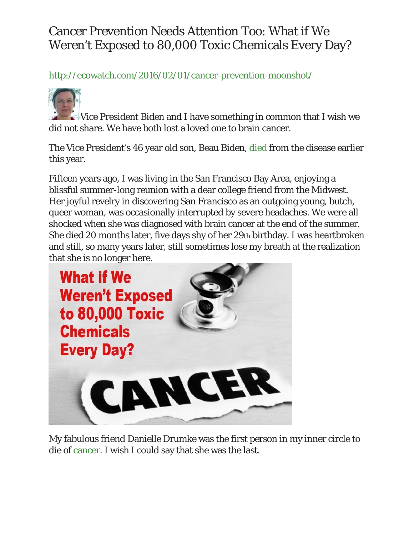http://ecowatch.com/2016/02/01/cancer-prevention-moonshot/

Vice President Biden and I have something in common that I wish we did not share. We have both lost a loved one to brain cancer.

The Vice President's 46 year old son, Beau Biden, died from the disease earlier this year.

Fifteen years ago, I was living in the San Francisco Bay Area, enjoying a blissful summer-long reunion with a dear college friend from the Midwest. Her joyful revelry in discovering San Francisco as an outgoing young, butch, queer woman, was occasionally interrupted by severe headaches. We were all shocked when she was diagnosed with brain cancer at the end of the summer. She died 20 months later, five days shy of her 29th birthday. I was heartbroken and still, so many years later, still sometimes lose my breath at the realization that she is no longer here.



My fabulous friend Danielle Drumke was the first person in my inner circle to die of cancer. I wish I could say that she was the last.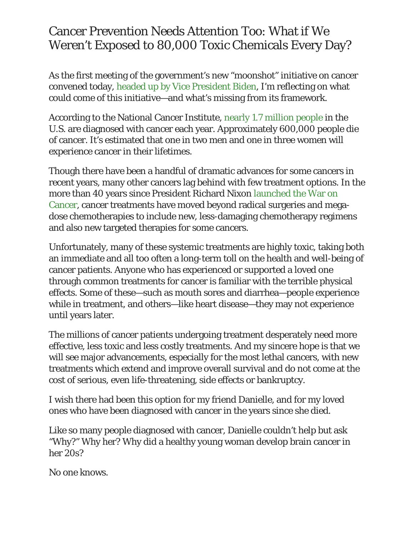As the first meeting of the government's new "moonshot" initiative on cancer convened today, headed up by Vice President Biden, I'm reflecting on what could come of this initiative—and what's missing from its framework.

According to the National Cancer Institute, nearly 1.7 million people in the U.S. are diagnosed with cancer each year. Approximately 600,000 people die of cancer. It's estimated that one in two men and one in three women will experience cancer in their lifetimes.

Though there have been a handful of dramatic advances for some cancers in recent years, many other cancers lag behind with few treatment options. In the more than 40 years since President Richard Nixon launched the War on Cancer, cancer treatments have moved beyond radical surgeries and megadose chemotherapies to include new, less-damaging chemotherapy regimens and also new targeted therapies for some cancers.

Unfortunately, many of these systemic treatments are highly toxic, taking both an immediate and all too often a long-term toll on the health and well-being of cancer patients. Anyone who has experienced or supported a loved one through common treatments for cancer is familiar with the terrible physical effects. Some of these—such as mouth sores and diarrhea—people experience while in treatment, and others—like heart disease—they may not experience until years later.

The millions of cancer patients undergoing treatment desperately need more effective, less toxic and less costly treatments. And my sincere hope is that we will see major advancements, especially for the most lethal cancers, with new treatments which extend and improve overall survival and do not come at the cost of serious, even life-threatening, side effects or bankruptcy.

I wish there had been this option for my friend Danielle, and for my loved ones who have been diagnosed with cancer in the years since she died.

Like so many people diagnosed with cancer, Danielle couldn't help but ask "Why?" Why her? Why did a healthy young woman develop brain cancer in her 20s?

No one knows.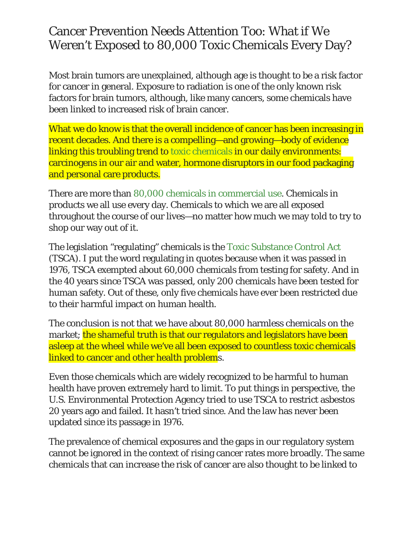Most brain tumors are unexplained, although age is thought to be a risk factor for cancer in general. Exposure to radiation is one of the only known risk factors for brain tumors, although, like many cancers, some chemicals have been linked to increased risk of brain cancer.

What we do know is that the overall incidence of cancer has been increasing in recent decades. And there is a compelling—and growing—body of evidence linking this troubling trend to toxic chemicals in our daily environments: carcinogens in our air and water, hormone disruptors in our food packaging and personal care products.

There are more than 80,000 chemicals in commercial use. Chemicals in products we all use every day. Chemicals to which we are all exposed throughout the course of our lives—no matter how much we may told to try to shop our way out of it.

The legislation "regulating" chemicals is the Toxic Substance Control Act (TSCA). I put the word regulating in quotes because when it was passed in 1976, TSCA exempted about 60,000 chemicals from testing for safety. And in the 40 years since TSCA was passed, only 200 chemicals have been tested for human safety. Out of these, only five chemicals have ever been restricted due to their harmful impact on human health.

The conclusion is not that we have about 80,000 harmless chemicals on the market; the shameful truth is that our regulators and legislators have been asleep at the wheel while we've all been exposed to countless toxic chemicals linked to cancer and other health problems.

Even those chemicals which are widely recognized to be harmful to human health have proven extremely hard to limit. To put things in perspective, the U.S. Environmental Protection Agency tried to use TSCA to restrict asbestos 20 years ago and failed. It hasn't tried since. And the law has never been updated since its passage in 1976.

The prevalence of chemical exposures and the gaps in our regulatory system cannot be ignored in the context of rising cancer rates more broadly. The same chemicals that can increase the risk of cancer are also thought to be linked to